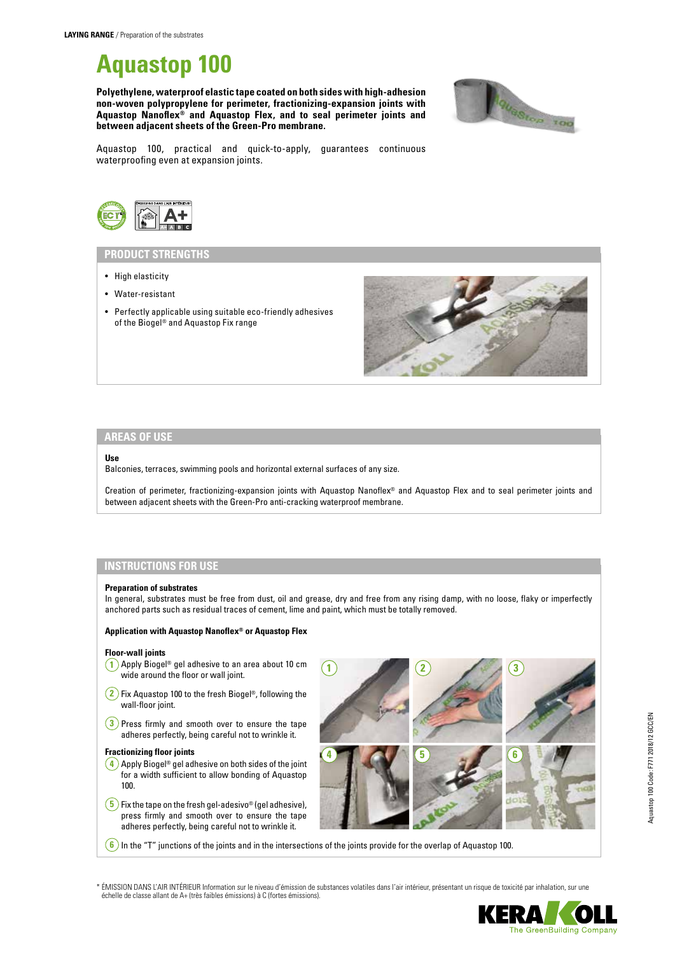# **Aquastop 100**

**Polyethylene, waterproof elastic tape coated on both sides with high-adhesion non-woven polypropylene for perimeter, fractionizing-expansion joints with Aquastop Nanoflex® and Aquastop Flex, and to seal perimeter joints and between adjacent sheets of the Green-Pro membrane.**



Aquastop 100, practical and quick-to-apply, guarantees continuous waterproofing even at expansion joints.



## **PRODUCT STRENGTHS**

- High elasticity
- Water-resistant
- Perfectly applicable using suitable eco-friendly adhesives of the Biogel® and Aquastop Fix range



### **AREAS OF USE**

#### **Use**

Balconies, terraces, swimming pools and horizontal external surfaces of any size.

Creation of perimeter, fractionizing-expansion joints with Aquastop Nanoflex® and Aquastop Flex and to seal perimeter joints and between adjacent sheets with the Green-Pro anti-cracking waterproof membrane.

### **INSTRUCTIONS FOR USE**

#### **Preparation of substrates**

In general, substrates must be free from dust, oil and grease, dry and free from any rising damp, with no loose, flaky or imperfectly anchored parts such as residual traces of cement, lime and paint, which must be totally removed.

#### **Application with Aquastop Nanoflex® or Aquastop Flex**

#### **Floor-wall joints**

- **1** Apply Biogel<sup>®</sup> gel adhesive to an area about 10 cm wide around the floor or wall joint.
- **2** Fix Aquastop 100 to the fresh Biogel®, following the wall-floor joint.
- **3** Press firmly and smooth over to ensure the tape adheres perfectly, being careful not to wrinkle it.

#### **Fractionizing floor joints**

- **4** Apply Biogel® gel adhesive on both sides of the joint for a width sufficient to allow bonding of Aquastop 100.
- $(5)$  Fix the tape on the fresh gel-adesivo<sup>®</sup> (gel adhesive), press firmly and smooth over to ensure the tape adheres perfectly, being careful not to wrinkle it.



**6** In the "T" junctions of the joints and in the intersections of the joints provide for the overlap of Aquastop 100.

\* ÉMISSION DANS L'AIR INTÉRIEUR Information sur le niveau d'émission de substances volatiles dans l'air intérieur, présentant un risque de toxicité par inhalation, sur une échelle de classe allant de A+ (très faibles émissions) à C (fortes émissions).

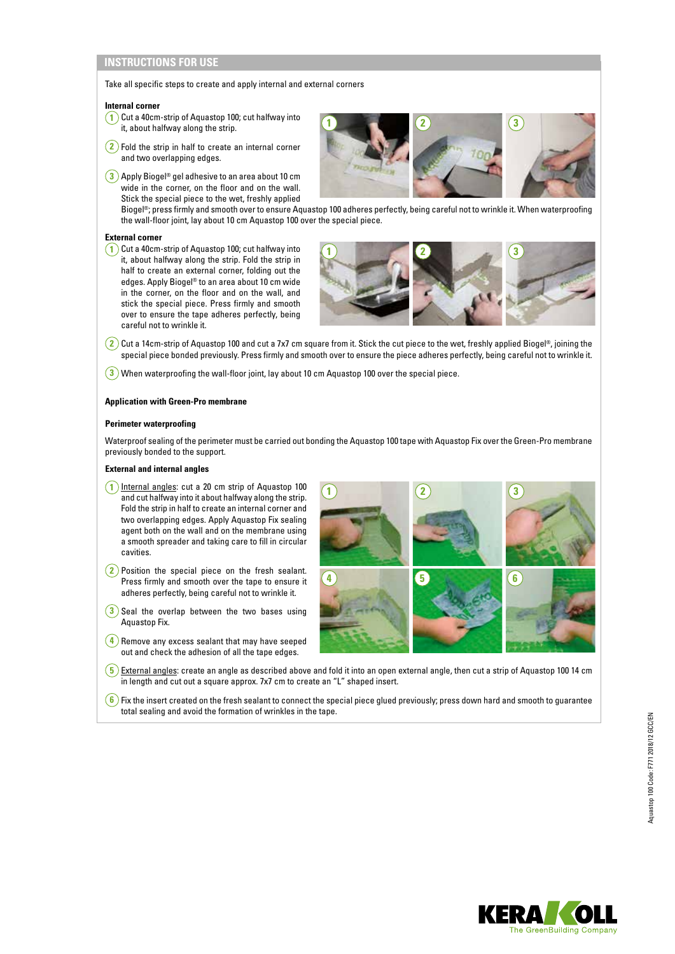# **INSTRUCTIONS FOR USE**

Take all specific steps to create and apply internal and external corners

#### **Internal corner**

- **1** Cut a 40cm-strip of Aquastop 100; cut halfway into it, about halfway along the strip.
- $(2)$  Fold the strip in half to create an internal corner and two overlapping edges.
- **3** Apply Biogel® gel adhesive to an area about 10 cm wide in the corner, on the floor and on the wall. Stick the special piece to the wet, freshly applied



Biogel®; press firmly and smooth over to ensure Aquastop 100 adheres perfectly, being careful not to wrinkle it. When waterproofing the wall-floor joint, lay about 10 cm Aquastop 100 over the special piece.

## **External corner**

**1** Cut a 40cm-strip of Aquastop 100; cut halfway into it, about halfway along the strip. Fold the strip in half to create an external corner, folding out the edges. Apply Biogel® to an area about 10 cm wide in the corner, on the floor and on the wall, and stick the special piece. Press firmly and smooth over to ensure the tape adheres perfectly, being careful not to wrinkle it.



 $\bf{2}$  Cut a 14cm-strip of Aquastop 100 and cut a 7x7 cm square from it. Stick the cut piece to the wet, freshly applied Biogel®, joining the special piece bonded previously. Press firmly and smooth over to ensure the piece adheres perfectly, being careful not to wrinkle it.

**3** When waterproofing the wall-floor joint, lay about 10 cm Aquastop 100 over the special piece.

#### **Application with Green-Pro membrane**

#### **Perimeter waterproofing**

Waterproof sealing of the perimeter must be carried out bonding the Aquastop 100 tape with Aquastop Fix over the Green-Pro membrane previously bonded to the support.

#### **External and internal angles**

- **1** Internal angles: cut a 20 cm strip of Aquastop 100 and cut halfway into it about halfway along the strip. Fold the strip in half to create an internal corner and two overlapping edges. Apply Aquastop Fix sealing agent both on the wall and on the membrane using a smooth spreader and taking care to fill in circular cavities.
- **2** Position the special piece on the fresh sealant. Press firmly and smooth over the tape to ensure it adheres perfectly, being careful not to wrinkle it.
- **3** Seal the overlap between the two bases using Aquastop Fix.
- **4** Remove any excess sealant that may have seeped out and check the adhesion of all the tape edges.



- **5** External angles: create an angle as described above and fold it into an open external angle, then cut a strip of Aquastop 100 14 cm in length and cut out a square approx. 7x7 cm to create an "L" shaped insert.
- **6** Fix the insert created on the fresh sealant to connect the special piece glued previously; press down hard and smooth to guarantee total sealing and avoid the formation of wrinkles in the tape.